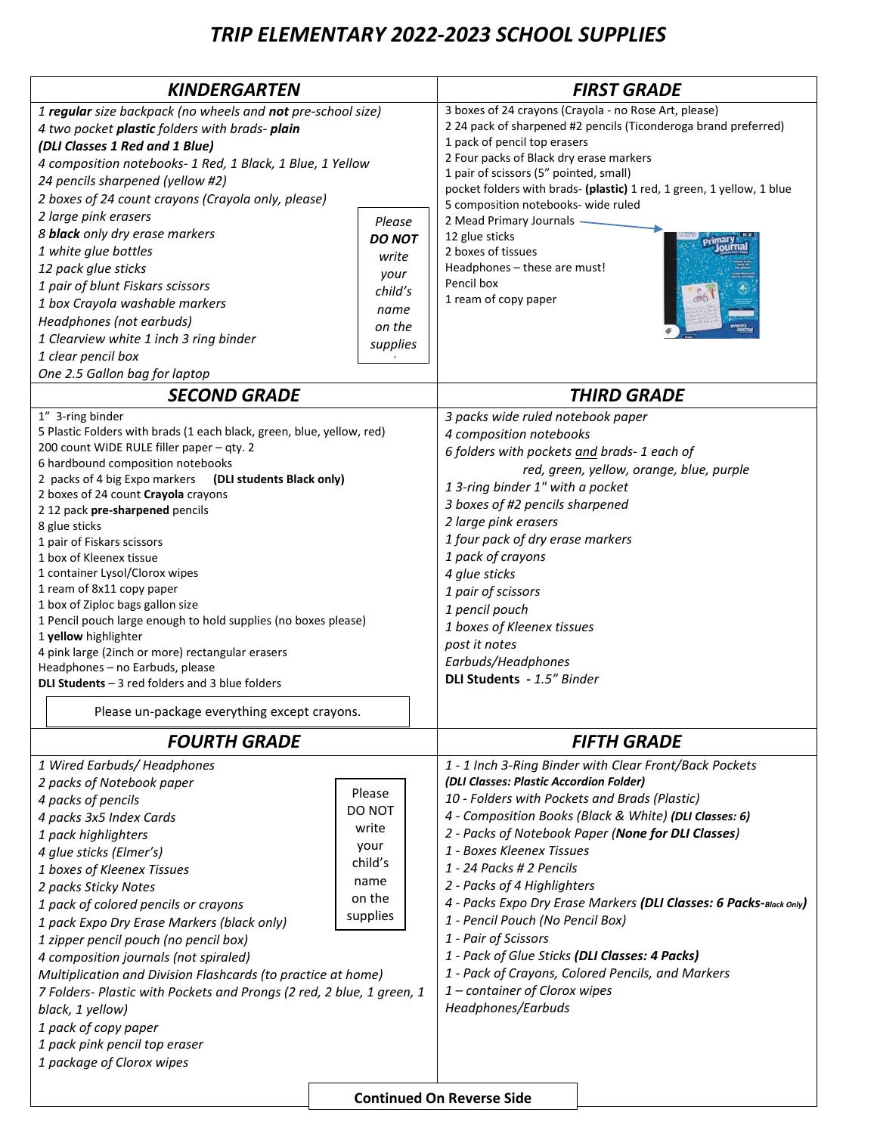# *TRIP ELEMENTARY 2022-2023 SCHOOL SUPPLIES*

| <b>KINDERGARTEN</b>                                                                       |                 | <b>FIRST GRADE</b>                                                      |  |
|-------------------------------------------------------------------------------------------|-----------------|-------------------------------------------------------------------------|--|
| 1 regular size backpack (no wheels and not pre-school size)                               |                 | 3 boxes of 24 crayons (Crayola - no Rose Art, please)                   |  |
| 4 two pocket plastic folders with brads-plain                                             |                 | 2 24 pack of sharpened #2 pencils (Ticonderoga brand preferred)         |  |
| (DLI Classes 1 Red and 1 Blue)                                                            |                 | 1 pack of pencil top erasers<br>2 Four packs of Black dry erase markers |  |
| 4 composition notebooks- 1 Red, 1 Black, 1 Blue, 1 Yellow                                 |                 | 1 pair of scissors (5" pointed, small)                                  |  |
| 24 pencils sharpened (yellow #2)                                                          |                 | pocket folders with brads- (plastic) 1 red, 1 green, 1 yellow, 1 blue   |  |
| 2 boxes of 24 count crayons (Crayola only, please)                                        |                 | 5 composition notebooks- wide ruled                                     |  |
| 2 large pink erasers                                                                      | Please          | 2 Mead Primary Journals -                                               |  |
| 8 <b>black</b> only dry erase markers                                                     | <b>DO NOT</b>   | 12 glue sticks                                                          |  |
| 1 white glue bottles                                                                      | write           | 2 boxes of tissues                                                      |  |
| 12 pack glue sticks                                                                       | your            | Headphones - these are must!<br>Pencil box                              |  |
| 1 pair of blunt Fiskars scissors                                                          | child's         | 1 ream of copy paper                                                    |  |
| 1 box Crayola washable markers                                                            | name            |                                                                         |  |
| Headphones (not earbuds)<br>1 Clearview white 1 inch 3 ring binder                        | on the          |                                                                         |  |
| 1 clear pencil box                                                                        | supplies        |                                                                         |  |
| One 2.5 Gallon bag for laptop                                                             |                 |                                                                         |  |
| <b>SECOND GRADE</b>                                                                       |                 | <b>THIRD GRADE</b>                                                      |  |
| 1" 3-ring binder                                                                          |                 | 3 packs wide ruled notebook paper                                       |  |
| 5 Plastic Folders with brads (1 each black, green, blue, yellow, red)                     |                 | 4 composition notebooks                                                 |  |
| 200 count WIDE RULE filler paper - qty. 2                                                 |                 | 6 folders with pockets and brads- 1 each of                             |  |
| 6 hardbound composition notebooks                                                         |                 | red, green, yellow, orange, blue, purple                                |  |
| 2 packs of 4 big Expo markers<br>(DLI students Black only)                                |                 | 1 3-ring binder 1" with a pocket                                        |  |
| 2 boxes of 24 count Crayola crayons<br>2 12 pack pre-sharpened pencils                    |                 | 3 boxes of #2 pencils sharpened                                         |  |
| 8 glue sticks                                                                             |                 | 2 large pink erasers                                                    |  |
| 1 pair of Fiskars scissors                                                                |                 | 1 four pack of dry erase markers                                        |  |
| 1 box of Kleenex tissue                                                                   |                 | 1 pack of crayons                                                       |  |
| 1 container Lysol/Clorox wipes                                                            |                 | 4 glue sticks                                                           |  |
| 1 ream of 8x11 copy paper                                                                 |                 | 1 pair of scissors                                                      |  |
| 1 box of Ziploc bags gallon size                                                          |                 | 1 pencil pouch                                                          |  |
| 1 Pencil pouch large enough to hold supplies (no boxes please)                            |                 | 1 boxes of Kleenex tissues                                              |  |
| 1 yellow highlighter<br>4 pink large (2inch or more) rectangular erasers                  |                 | post it notes                                                           |  |
| Headphones - no Earbuds, please                                                           |                 | Earbuds/Headphones                                                      |  |
| <b>DLI Students</b> $-3$ red folders and 3 blue folders                                   |                 | DLI Students - 1.5" Binder                                              |  |
| Please un-package everything except crayons.                                              |                 |                                                                         |  |
| <b>FOURTH GRADE</b>                                                                       |                 | <b>FIFTH GRADE</b>                                                      |  |
| 1 Wired Earbuds/ Headphones                                                               |                 | 1 - 1 Inch 3-Ring Binder with Clear Front/Back Pockets                  |  |
| 2 packs of Notebook paper                                                                 |                 | (DLI Classes: Plastic Accordion Folder)                                 |  |
| 4 packs of pencils                                                                        | Please          | 10 - Folders with Pockets and Brads (Plastic)                           |  |
| 4 packs 3x5 Index Cards                                                                   | DO NOT          | 4 - Composition Books (Black & White) (DLI Classes: 6)                  |  |
| 1 pack highlighters                                                                       | write           | 2 - Packs of Notebook Paper (None for DLI Classes)                      |  |
| 4 glue sticks (Elmer's)                                                                   | your<br>child's | 1 - Boxes Kleenex Tissues                                               |  |
| 1 boxes of Kleenex Tissues                                                                | name            | 1 - 24 Packs # 2 Pencils                                                |  |
| 2 packs Sticky Notes                                                                      | on the          | 2 - Packs of 4 Highlighters                                             |  |
| 1 pack of colored pencils or crayons                                                      | supplies        | 4 - Packs Expo Dry Erase Markers (DLI Classes: 6 Packs-Black Only)      |  |
| 1 pack Expo Dry Erase Markers (black only)                                                |                 | 1 - Pencil Pouch (No Pencil Box)                                        |  |
| 1 zipper pencil pouch (no pencil box)                                                     |                 | 1 - Pair of Scissors                                                    |  |
| 4 composition journals (not spiraled)                                                     |                 | 1 - Pack of Glue Sticks (DLI Classes: 4 Packs)                          |  |
| Multiplication and Division Flashcards (to practice at home)                              |                 | 1 - Pack of Crayons, Colored Pencils, and Markers                       |  |
| 7 Folders- Plastic with Pockets and Prongs (2 red, 2 blue, 1 green, 1<br>black, 1 yellow) |                 | 1 - container of Clorox wipes<br>Headphones/Earbuds                     |  |
| 1 pack of copy paper                                                                      |                 |                                                                         |  |
| 1 pack pink pencil top eraser                                                             |                 |                                                                         |  |
| 1 package of Clorox wipes                                                                 |                 |                                                                         |  |
|                                                                                           |                 |                                                                         |  |
|                                                                                           |                 | <b>Continued On Reverse Side</b>                                        |  |